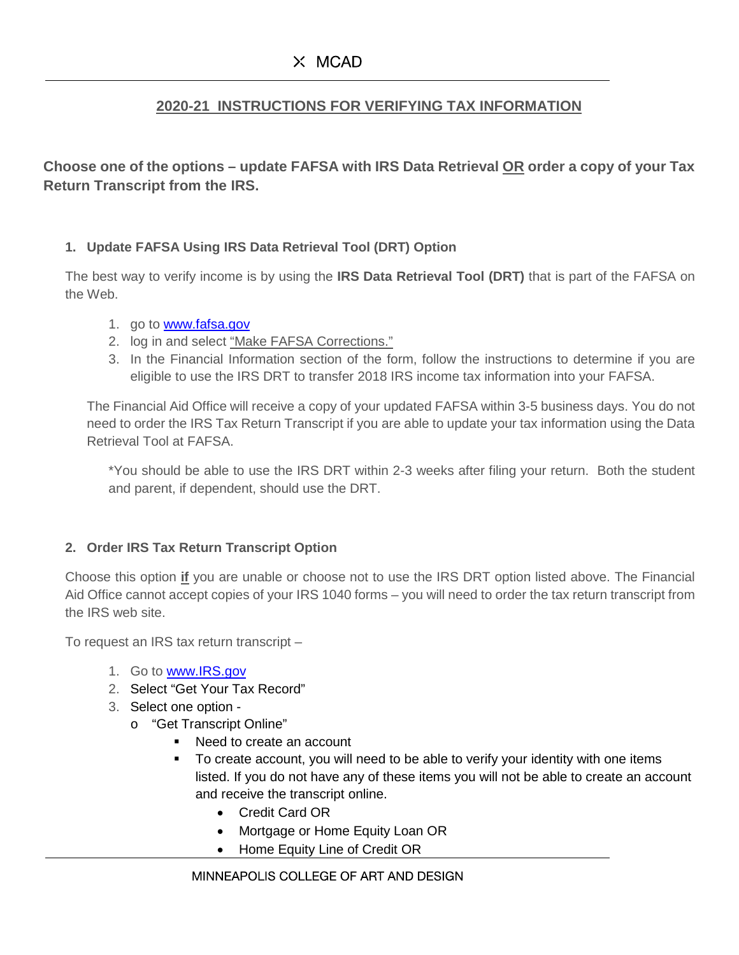## **2020-21 INSTRUCTIONS FOR VERIFYING TAX INFORMATION**

**Choose one of the options – update FAFSA with IRS Data Retrieval OR order a copy of your Tax Return Transcript from the IRS.**

## **1. Update FAFSA Using IRS Data Retrieval Tool (DRT) Option**

The best way to verify income is by using the **IRS Data Retrieval Tool (DRT)** that is part of the FAFSA on the Web.

- 1. go to [www.fafsa.gov](http://www.fafsa.gov/)
- 2. log in and select "Make FAFSA Corrections."
- 3. In the Financial Information section of the form, follow the instructions to determine if you are eligible to use the IRS DRT to transfer 2018 IRS income tax information into your FAFSA.

The Financial Aid Office will receive a copy of your updated FAFSA within 3-5 business days. You do not need to order the IRS Tax Return Transcript if you are able to update your tax information using the Data Retrieval Tool at FAFSA.

\*You should be able to use the IRS DRT within 2-3 weeks after filing your return. Both the student and parent, if dependent, should use the DRT.

## **2. Order IRS Tax Return Transcript Option**

Choose this option **if** you are unable or choose not to use the IRS DRT option listed above. The Financial Aid Office cannot accept copies of your IRS 1040 forms – you will need to order the tax return transcript from the IRS web site.

To request an IRS tax return transcript –

- 1. Go to [www.IRS.gov](http://www.irs.gov/)
- 2. Select "Get Your Tax Record"
- 3. Select one option
	- o "Get Transcript Online"
		- Need to create an account
		- To create account, you will need to be able to verify your identity with one items listed. If you do not have any of these items you will not be able to create an account and receive the transcript online.
			- Credit Card OR
			- Mortgage or Home Equity Loan OR
			- Home Equity Line of Credit OR